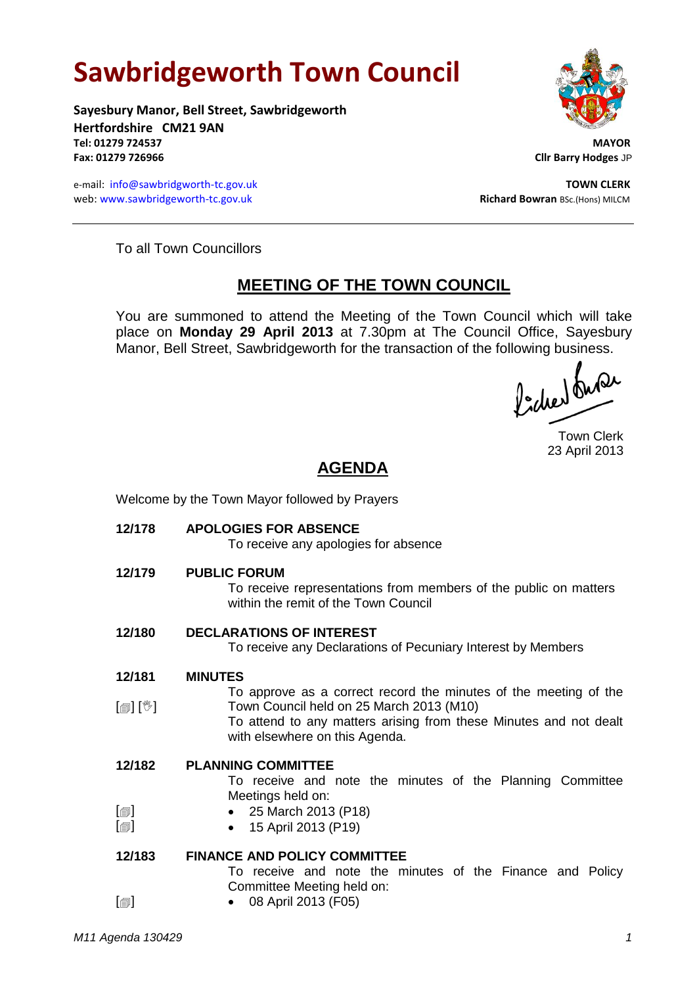# **Sawbridgeworth Town Council**

**Sayesbury Manor, Bell Street, Sawbridgeworth Hertfordshire CM21 9AN Tel: 01279 724537 MAYOR Fax: 01279 726966 Cllr Barry Hodges** JP

e-mail: [info@sawbridgworth-tc.gov.uk](mailto:info@sawbridgworth-tc.gov.uk) **TOWN CLERK** web: www.sawbridgeworth-tc.gov.uk **Richard Bowran** BSc.(Hons) MILCM



To all Town Councillors

## **MEETING OF THE TOWN COUNCIL**

You are summoned to attend the Meeting of the Town Council which will take place on **Monday 29 April 2013** at 7.30pm at The Council Office, Sayesbury Manor, Bell Street, Sawbridgeworth for the transaction of the following business.<br>  $\int_{\mathbb{R}} \int \mathbb{R} \mathbb{Q} \mathbb{Q}$ 

Town Clerk 23 April 2013

# **AGENDA**

Welcome by the Town Mayor followed by Prayers

**12/178 APOLOGIES FOR ABSENCE** To receive any apologies for absence **12/179 PUBLIC FORUM** To receive representations from members of the public on matters within the remit of the Town Council **12/180 DECLARATIONS OF INTEREST** To receive any Declarations of Pecuniary Interest by Members **12/181** [創] [V] **MINUTES** To approve as a correct record the minutes of the meeting of the Town Council held on 25 March 2013 (M10) To attend to any matters arising from these Minutes and not dealt with elsewhere on this Agenda. **12/182**  $[\blacksquare]$  $\Box$ **PLANNING COMMITTEE** To receive and note the minutes of the Planning Committee Meetings held on: • 25 March 2013 (P18) 15 April 2013 (P19) **12/183**  $\Box$ **FINANCE AND POLICY COMMITTEE** To receive and note the minutes of the Finance and Policy Committee Meeting held on: 08 April 2013 (F05)